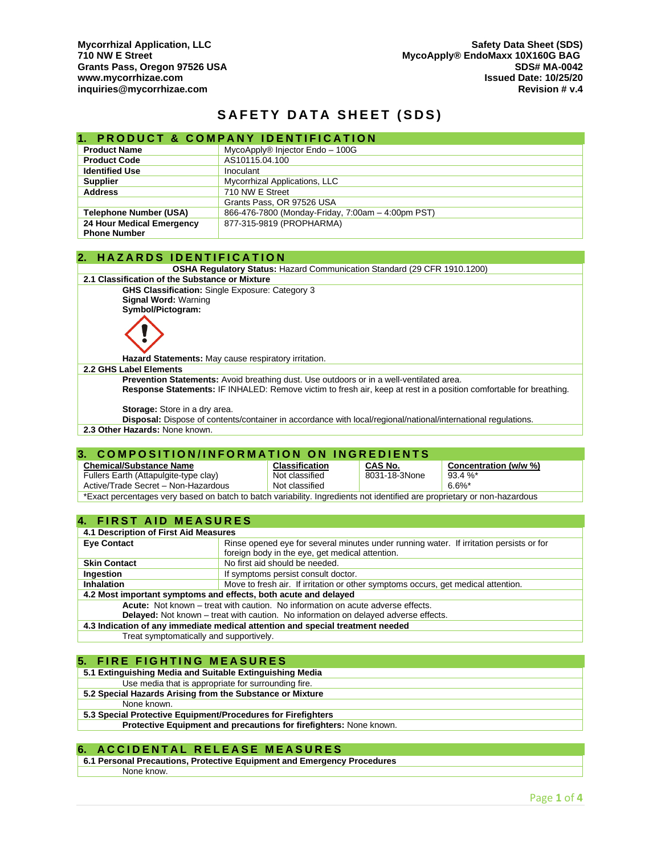# **SAFETY DATA SHEET (SDS)**

|                                   | 1. PRODUCT & COMPANY IDENTIFICATION               |  |
|-----------------------------------|---------------------------------------------------|--|
| <b>Product Name</b>               | MycoApply® Injector Endo - 100G                   |  |
| <b>Product Code</b>               | AS10115.04.100                                    |  |
| <b>Identified Use</b>             | Inoculant                                         |  |
| <b>Supplier</b>                   | Mycorrhizal Applications, LLC                     |  |
| <b>Address</b><br>710 NW E Street |                                                   |  |
|                                   | Grants Pass, OR 97526 USA                         |  |
| <b>Telephone Number (USA)</b>     | 866-476-7800 (Monday-Friday, 7:00am - 4:00pm PST) |  |
| 24 Hour Medical Emergency         | 877-315-9819 (PROPHARMA)                          |  |
| <b>Phone Number</b>               |                                                   |  |

#### **2. H A Z A R D S I D E N T I F I C A T I O N**

**OSHA Regulatory Status:** Hazard Communication Standard (29 CFR 1910.1200)

# **2.1 Classification of the Substance or Mixture**

**GHS Classification:** Single Exposure: Category 3 **Signal Word:** Warning

**Symbol/Pictogram:**



**Hazard Statements:** May cause respiratory irritation.

#### **2.2 GHS Label Elements**

**Prevention Statements:** Avoid breathing dust. Use outdoors or in a well-ventilated area. **Response Statements:** IF INHALED: Remove victim to fresh air, keep at rest in a position comfortable for breathing.

**Storage:** Store in a dry area.

**Disposal:** Dispose of contents/container in accordance with local/regional/national/international regulations.

**2.3 Other Hazards:** None known.

#### **3. COMPOSITION/INFORMATION ON INGREDIENTS**

| <b>Chemical/Substance Name</b>                                                                                           | <b>Classification</b> | <b>CAS No.</b> | Concentration (w/w %) |
|--------------------------------------------------------------------------------------------------------------------------|-----------------------|----------------|-----------------------|
| Fullers Earth (Attapulgite-type clay)                                                                                    | Not classified        | 8031-18-3None  | $93.4 \%$             |
| Active/Trade Secret - Non-Hazardous                                                                                      | Not classified        |                | $6.6\%$ *             |
| *Exact percentages very based on batch to batch variability. Ingredients not identified are proprietary or non-hazardous |                       |                |                       |

#### **4. FIRST AID MEASURES**

| 4.1 Description of First Aid Measures                                                           |                                                                                         |  |
|-------------------------------------------------------------------------------------------------|-----------------------------------------------------------------------------------------|--|
| <b>Eye Contact</b>                                                                              | Rinse opened eye for several minutes under running water. If irritation persists or for |  |
|                                                                                                 | foreign body in the eye, get medical attention.                                         |  |
| <b>Skin Contact</b>                                                                             | No first aid should be needed.                                                          |  |
| If symptoms persist consult doctor.<br>Ingestion                                                |                                                                                         |  |
| Inhalation<br>Move to fresh air. If irritation or other symptoms occurs, get medical attention. |                                                                                         |  |
| 4.2 Most important symptoms and effects, both acute and delayed                                 |                                                                                         |  |
| Acute: Not known – treat with caution. No information on acute adverse effects.                 |                                                                                         |  |
| <b>Delayed:</b> Not known – treat with caution. No information on delayed adverse effects.      |                                                                                         |  |
| 4.3 Indication of any immediate medical attention and special treatment needed                  |                                                                                         |  |
| Treat symptomatically and supportively.                                                         |                                                                                         |  |

# **5. FIRE FIGHTING MEASURES**

| 5.1 Extinguishing Media and Suitable Extinguishing Media           |
|--------------------------------------------------------------------|
| Use media that is appropriate for surrounding fire.                |
| 5.2 Special Hazards Arising from the Substance or Mixture          |
| None known.                                                        |
| 5.3 Special Protective Equipment/Procedures for Firefighters       |
| Protective Equipment and precautions for firefighters: None known. |
|                                                                    |

### **6. ACCIDENTAL RELEASE MEASURES**

**6.1 Personal Precautions, Protective Equipment and Emergency Procedures** None know.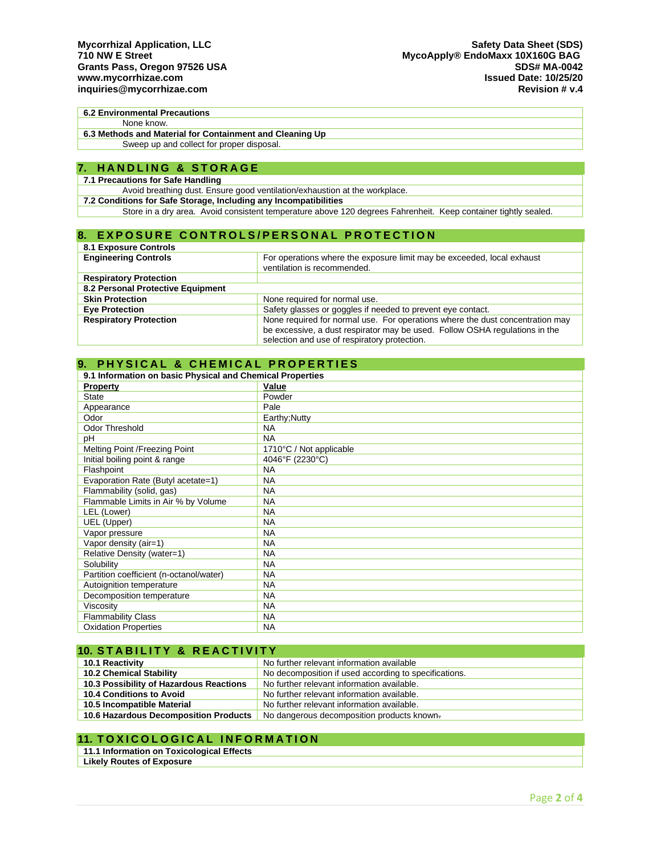#### **6.2 Environmental Precautions** None know.

**6.3 Methods and Material for Containment and Cleaning Up** Sweep up and collect for proper disposal.

#### **7. H A N D L I N G & S T O R A G E**

#### **7.1 Precautions for Safe Handling**

Avoid breathing dust. Ensure good ventilation/exhaustion at the workplace.

**7.2 Conditions for Safe Storage, Including any Incompatibilities**

Store in a dry area. Avoid consistent temperature above 120 degrees Fahrenheit. Keep container tightly sealed.

### **8. EXPOSURE CONTROLS/PERSONAL PROTECTION**

| <b>8.1 Exposure Controls</b>      |                                                                                                       |  |
|-----------------------------------|-------------------------------------------------------------------------------------------------------|--|
| <b>Engineering Controls</b>       | For operations where the exposure limit may be exceeded, local exhaust<br>ventilation is recommended. |  |
| <b>Respiratory Protection</b>     |                                                                                                       |  |
| 8.2 Personal Protective Equipment |                                                                                                       |  |
| <b>Skin Protection</b>            | None required for normal use.                                                                         |  |
| <b>Eye Protection</b>             | Safety glasses or goggles if needed to prevent eye contact.                                           |  |
| <b>Respiratory Protection</b>     | None required for normal use. For operations where the dust concentration may                         |  |
|                                   | be excessive, a dust respirator may be used. Follow OSHA regulations in the                           |  |
|                                   | selection and use of respiratory protection.                                                          |  |

#### **9. PHYSICAL & CHEMICAL PROPERTIES 9.1 Information on basic Physical and Chemical Properties Property Value** State Powder Appearance **Pale** Odor **Earthy**;Nutty Odor Threshold NA pH NA Melting Point /Freezing Point 1710°C / Not applicable<br>
Initial boiling point & range 4046°F (2230°C) Initial boiling point & range Flashpoint NA<br>Evaporation Rate (Butyl acetate=1) NA Evaporation Rate (Butyl acetate=1) Flammability (solid, gas) NA Flammable Limits in Air % by Volume LEL (Lower) NA UEL (Upper) NA Vapor pressure NA Vapor density (air=1) NA Relative Density (water=1) NA Solubility NA Partition coefficient (n-octanol/water) NA Autoignition temperature NA Decomposition temperature MAN<br>Viscosity NA Viscosity NA<br>Flammability Class NA Flammability Class Oxidation Properties NA

| <b>10. STABILITY &amp; REACTIVITY</b>                        |                                                       |  |
|--------------------------------------------------------------|-------------------------------------------------------|--|
| No further relevant information available<br>10.1 Reactivity |                                                       |  |
| <b>10.2 Chemical Stability</b>                               | No decomposition if used according to specifications. |  |
| 10.3 Possibility of Hazardous Reactions                      | No further relevant information available.            |  |
| 10.4 Conditions to Avoid                                     | No further relevant information available.            |  |
| 10.5 Incompatible Material                                   | No further relevant information available.            |  |
| 10.6 Hazardous Decomposition Products                        | No dangerous decomposition products known-            |  |

# **11. TOXICOLOGICAL INFORMATION**

**11.1 Information on Toxicological Effects**

**Likely Routes of Exposure**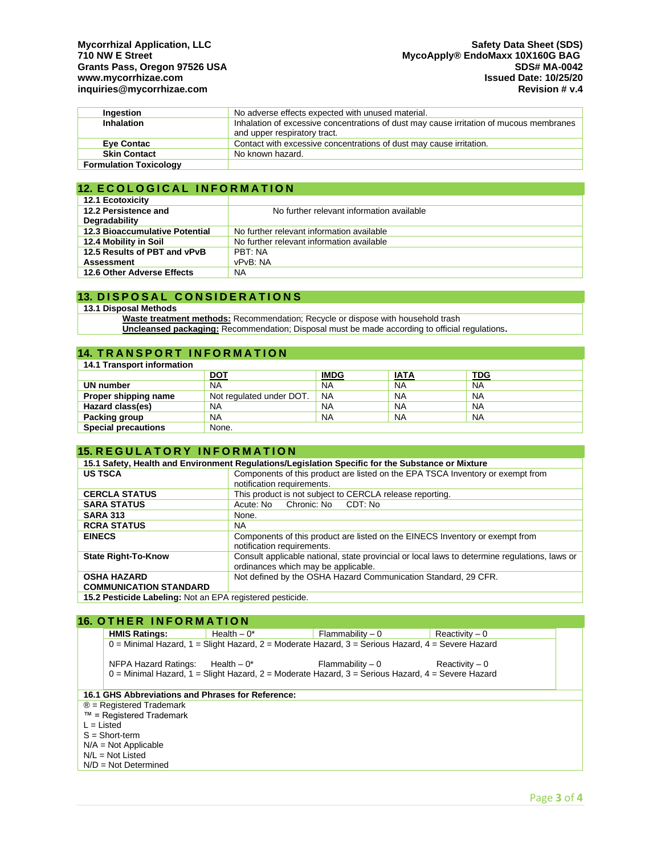| Ingestion                     | No adverse effects expected with unused material.                                                                       |  |
|-------------------------------|-------------------------------------------------------------------------------------------------------------------------|--|
| <b>Inhalation</b>             | Inhalation of excessive concentrations of dust may cause irritation of mucous membranes<br>and upper respiratory tract. |  |
| <b>Eve Contac</b>             | Contact with excessive concentrations of dust may cause irritation.                                                     |  |
| <b>Skin Contact</b>           | No known hazard.                                                                                                        |  |
| <b>Formulation Toxicology</b> |                                                                                                                         |  |

### **12. ECOLOGICAL INFORMATION**

| <b>12.1 Ecotoxicity</b>               |                                           |
|---------------------------------------|-------------------------------------------|
| 12.2 Persistence and                  | No further relevant information available |
| Degradability                         |                                           |
| <b>12.3 Bioaccumulative Potential</b> | No further relevant information available |
| 12.4 Mobility in Soil                 | No further relevant information available |
| 12.5 Results of PBT and vPvB          | PRT: NA                                   |
| <b>Assessment</b>                     | vPvB: NA                                  |
| 12.6 Other Adverse Effects            | <b>NA</b>                                 |

# **13. D I S P O S A L C O N S I D E R A T I O N S**

# **13.1 Disposal Methods**

**Waste treatment methods:** Recommendation; Recycle or dispose with household trash **Uncleansed packaging:** Recommendation; Disposal must be made according to official regulations**.**

# **14. TRANSPORT INFORMATION**

| <b>14.1 Transport information</b> |                          |             |             |            |
|-----------------------------------|--------------------------|-------------|-------------|------------|
|                                   | <b>DOT</b>               | <b>IMDG</b> | <u>IATA</u> | <b>TDG</b> |
| UN number                         | <b>NA</b>                | <b>NA</b>   | <b>NA</b>   | <b>NA</b>  |
| Proper shipping name              | Not regulated under DOT. | <b>NA</b>   | <b>NA</b>   | <b>NA</b>  |
| Hazard class(es)                  | <b>NA</b>                | <b>NA</b>   | <b>NA</b>   | <b>NA</b>  |
| Packing group                     | <b>NA</b>                | <b>NA</b>   | <b>NA</b>   | <b>NA</b>  |
| <b>Special precautions</b>        | None.                    |             |             |            |

### **15. REGULATORY INFORMATION**

| 15.1 Safety, Health and Environment Regulations/Legislation Specific for the Substance or Mixture |                                                                                               |  |  |
|---------------------------------------------------------------------------------------------------|-----------------------------------------------------------------------------------------------|--|--|
| <b>US TSCA</b>                                                                                    | Components of this product are listed on the EPA TSCA Inventory or exempt from                |  |  |
|                                                                                                   | notification requirements.                                                                    |  |  |
| <b>CERCLA STATUS</b>                                                                              | This product is not subject to CERCLA release reporting.                                      |  |  |
| <b>SARA STATUS</b>                                                                                | Chronic: No CDT: No<br>Acute: No                                                              |  |  |
| <b>SARA 313</b>                                                                                   | None.                                                                                         |  |  |
| <b>RCRA STATUS</b>                                                                                | NA.                                                                                           |  |  |
| <b>EINECS</b>                                                                                     | Components of this product are listed on the EINECS Inventory or exempt from                  |  |  |
|                                                                                                   | notification requirements.                                                                    |  |  |
| <b>State Right-To-Know</b>                                                                        | Consult applicable national, state provincial or local laws to determine regulations, laws or |  |  |
|                                                                                                   | ordinances which may be applicable.                                                           |  |  |
| <b>OSHA HAZARD</b>                                                                                | Not defined by the OSHA Hazard Communication Standard, 29 CFR.                                |  |  |
| <b>COMMUNICATION STANDARD</b>                                                                     |                                                                                               |  |  |
| 15.2 Pesticide Labeling: Not an EPA registered pesticide.                                         |                                                                                               |  |  |

### **16. OTHER INFORMATION**

| <b>HMIS Ratings:</b>                              | Health $-0^*$ | Flammability – 0                                                                                    | Reactivity $-0$  |  |  |
|---------------------------------------------------|---------------|-----------------------------------------------------------------------------------------------------|------------------|--|--|
|                                                   |               | $0$ = Minimal Hazard, 1 = Slight Hazard, 2 = Moderate Hazard, 3 = Serious Hazard, 4 = Severe Hazard |                  |  |  |
|                                                   |               |                                                                                                     |                  |  |  |
| NFPA Hazard Ratings: Health $-0^*$                |               | Flammability – 0                                                                                    | $Reactivity - 0$ |  |  |
|                                                   |               | $0 =$ Minimal Hazard, 1 = Slight Hazard, 2 = Moderate Hazard, 3 = Serious Hazard, 4 = Severe Hazard |                  |  |  |
|                                                   |               |                                                                                                     |                  |  |  |
| 16.1 GHS Abbreviations and Phrases for Reference: |               |                                                                                                     |                  |  |  |
| $\circledR$ = Registered Trademark                |               |                                                                                                     |                  |  |  |
| $™$ = Registered Trademark                        |               |                                                                                                     |                  |  |  |
| $L = Listed$                                      |               |                                                                                                     |                  |  |  |
| $S = Short-term$                                  |               |                                                                                                     |                  |  |  |
| $N/A = Not Applicable$                            |               |                                                                                                     |                  |  |  |
| $N/L = Not$ Listed                                |               |                                                                                                     |                  |  |  |
| $N/D = Not Determined$                            |               |                                                                                                     |                  |  |  |
|                                                   |               |                                                                                                     |                  |  |  |